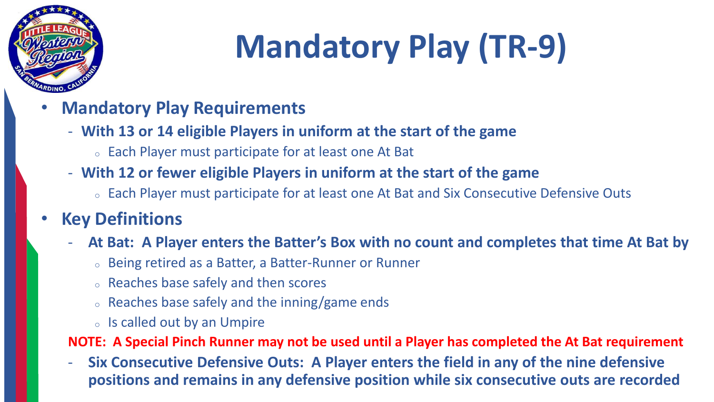

# **Mandatory Play (TR-9)**

- **Mandatory Play Requirements**
	- **With 13 or 14 eligible Players in uniform at the start of the game**
		- <sup>o</sup> Each Player must participate for at least one At Bat
	- **With 12 or fewer eligible Players in uniform at the start of the game**
		- <sup>o</sup> Each Player must participate for at least one At Bat and Six Consecutive Defensive Outs

#### • **Key Definitions**

- **At Bat: A Player enters the Batter's Box with no count and completes that time At Bat by** 
	- <sup>o</sup> Being retired as a Batter, a Batter-Runner or Runner
	- <sup>o</sup> Reaches base safely and then scores
	- <sup>o</sup> Reaches base safely and the inning/game ends
	- <sup>o</sup> Is called out by an Umpire

**NOTE: A Special Pinch Runner may not be used until a Player has completed the At Bat requirement**

- **Six Consecutive Defensive Outs: A Player enters the field in any of the nine defensive positions and remains in any defensive position while six consecutive outs are recorded**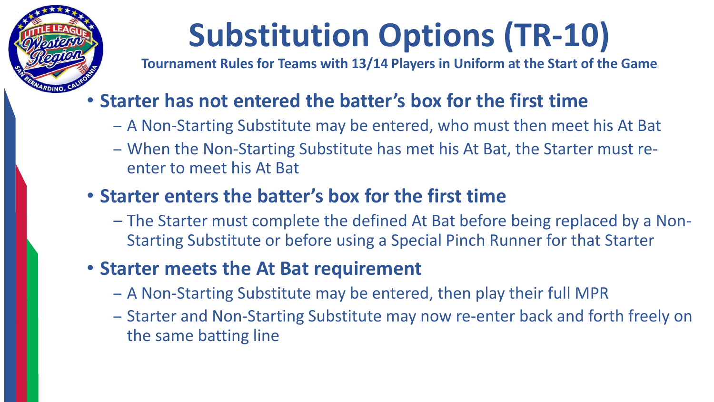

# **Substitution Options (TR-10)**

**Tournament Rules for Teams with 13/14 Players in Uniform at the Start of the Game**

### • **Starter has not entered the batter's box for the first time**

- A Non-Starting Substitute may be entered, who must then meet his At Bat
- When the Non-Starting Substitute has met his At Bat, the Starter must reenter to meet his At Bat

### • **Starter enters the batter's box for the first time**

– The Starter must complete the defined At Bat before being replaced by a Non-Starting Substitute or before using a Special Pinch Runner for that Starter

### • **Starter meets the At Bat requirement**

- A Non-Starting Substitute may be entered, then play their full MPR
- Starter and Non-Starting Substitute may now re-enter back and forth freely on the same batting line